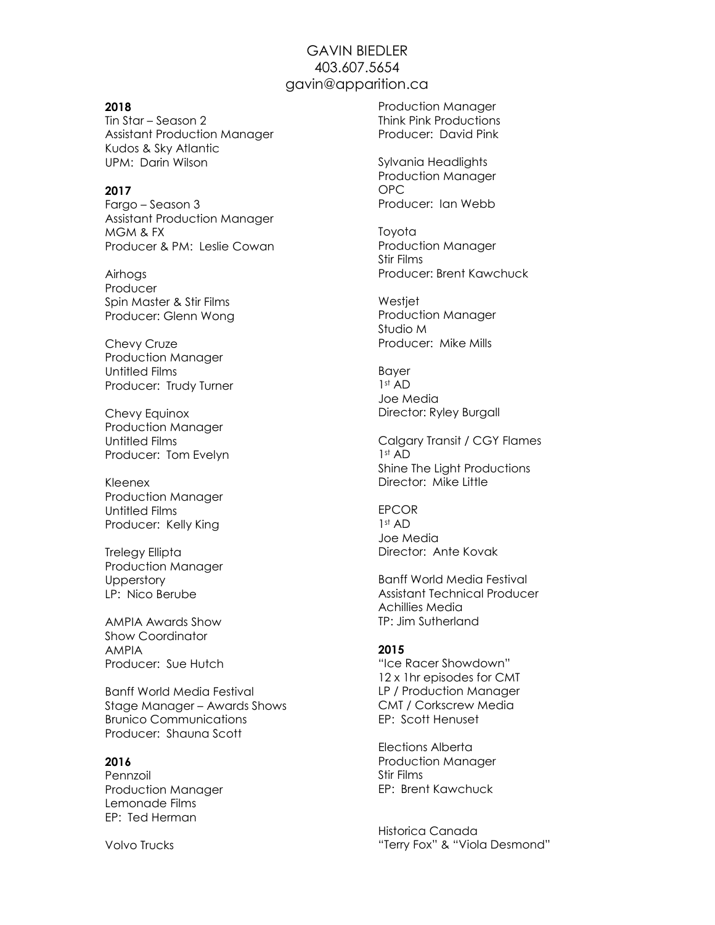# GAVIN BIEDLER 403.607.5654 gavin@apparition.ca

#### 2018

Tin Star – Season 2 Assistant Production Manager Kudos & Sky Atlantic UPM: Darin Wilson

#### 2017

Fargo – Season 3 Assistant Production Manager MGM & FX Producer & PM: Leslie Cowan

Airhogs Producer Spin Master & Stir Films Producer: Glenn Wong

Chevy Cruze Production Manager Untitled Films Producer: Trudy Turner

Chevy Equinox Production Manager Untitled Films Producer: Tom Evelyn

Kleenex Production Manager Untitled Films Producer: Kelly King

Trelegy Ellipta Production Manager **Upperstory** LP: Nico Berube

AMPIA Awards Show Show Coordinator AMPIA Producer: Sue Hutch

Banff World Media Festival Stage Manager – Awards Shows Brunico Communications Producer: Shauna Scott

#### 2016

Pennzoil Production Manager Lemonade Films EP: Ted Herman

Volvo Trucks

Production Manager Think Pink Productions Producer: David Pink

Sylvania Headlights Production Manager OPC Producer: Ian Webb

Toyota Production Manager Stir Films Producer: Brent Kawchuck

Westjet Production Manager Studio M Producer: Mike Mills

Bayer 1st AD Joe Media Director: Ryley Burgall

Calgary Transit / CGY Flames 1st AD Shine The Light Productions Director: Mike Little

**FPCOR** 1st AD Joe Media Director: Ante Kovak

Banff World Media Festival Assistant Technical Producer Achillies Media TP: Jim Sutherland

### 2015

"Ice Racer Showdown" 12 x 1hr episodes for CMT LP / Production Manager CMT / Corkscrew Media EP: Scott Henuset

Elections Alberta Production Manager Stir Films EP: Brent Kawchuck

Historica Canada "Terry Fox" & "Viola Desmond"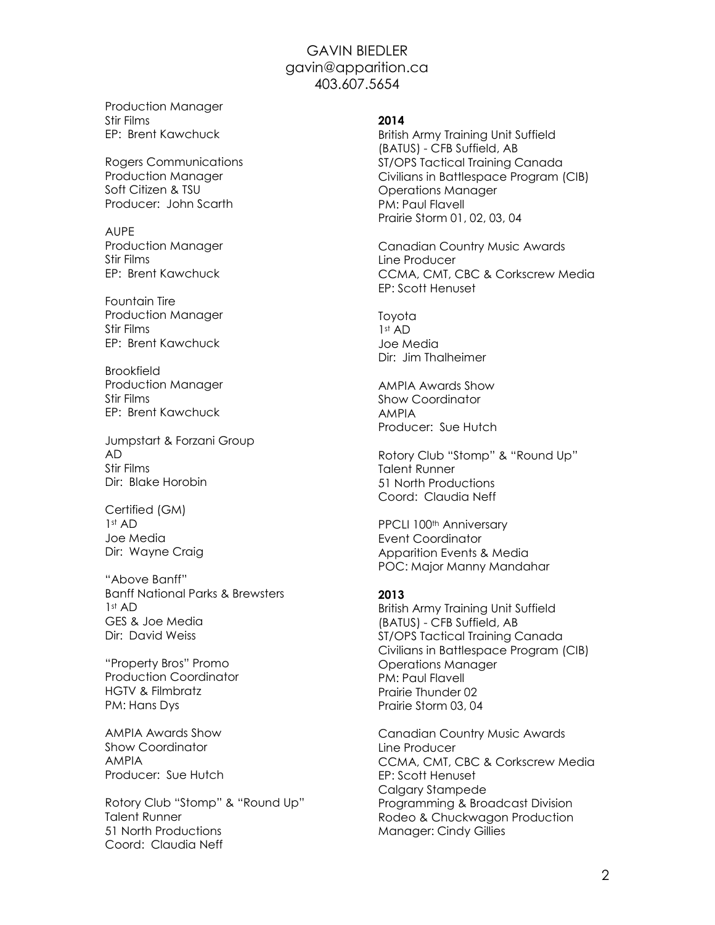Production Manager Stir Films EP: Brent Kawchuck

Rogers Communications Production Manager Soft Citizen & TSU Producer: John Scarth

AUPE Production Manager Stir Films EP: Brent Kawchuck

Fountain Tire Production Manager Stir Films EP: Brent Kawchuck

Brookfield Production Manager Stir Films EP: Brent Kawchuck

Jumpstart & Forzani Group AD Stir Films Dir: Blake Horobin

Certified (GM) 1st AD Joe Media Dir: Wayne Craig

"Above Banff" Banff National Parks & Brewsters 1st AD GES & Joe Media Dir: David Weiss

"Property Bros" Promo Production Coordinator HGTV & Filmbratz PM: Hans Dys

AMPIA Awards Show Show Coordinator AMPIA Producer: Sue Hutch

Rotory Club "Stomp" & "Round Up" Talent Runner 51 North Productions Coord: Claudia Neff

### 2014

British Army Training Unit Suffield (BATUS) - CFB Suffield, AB ST/OPS Tactical Training Canada Civilians in Battlespace Program (CIB) Operations Manager PM: Paul Flavell Prairie Storm 01, 02, 03, 04

Canadian Country Music Awards Line Producer CCMA, CMT, CBC & Corkscrew Media EP: Scott Henuset

Toyota  $1<sup>st</sup> AD$ Joe Media Dir: Jim Thalheimer

AMPIA Awards Show Show Coordinator AMPIA Producer: Sue Hutch

Rotory Club "Stomp" & "Round Up" Talent Runner 51 North Productions Coord: Claudia Neff

PPCLI 100<sup>th</sup> Anniversary Event Coordinator Apparition Events & Media POC: Major Manny Mandahar

### 2013

British Army Training Unit Suffield (BATUS) - CFB Suffield, AB ST/OPS Tactical Training Canada Civilians in Battlespace Program (CIB) Operations Manager PM: Paul Flavell Prairie Thunder 02 Prairie Storm 03, 04

Canadian Country Music Awards Line Producer CCMA, CMT, CBC & Corkscrew Media EP: Scott Henuset Calgary Stampede Programming & Broadcast Division Rodeo & Chuckwagon Production Manager: Cindy Gillies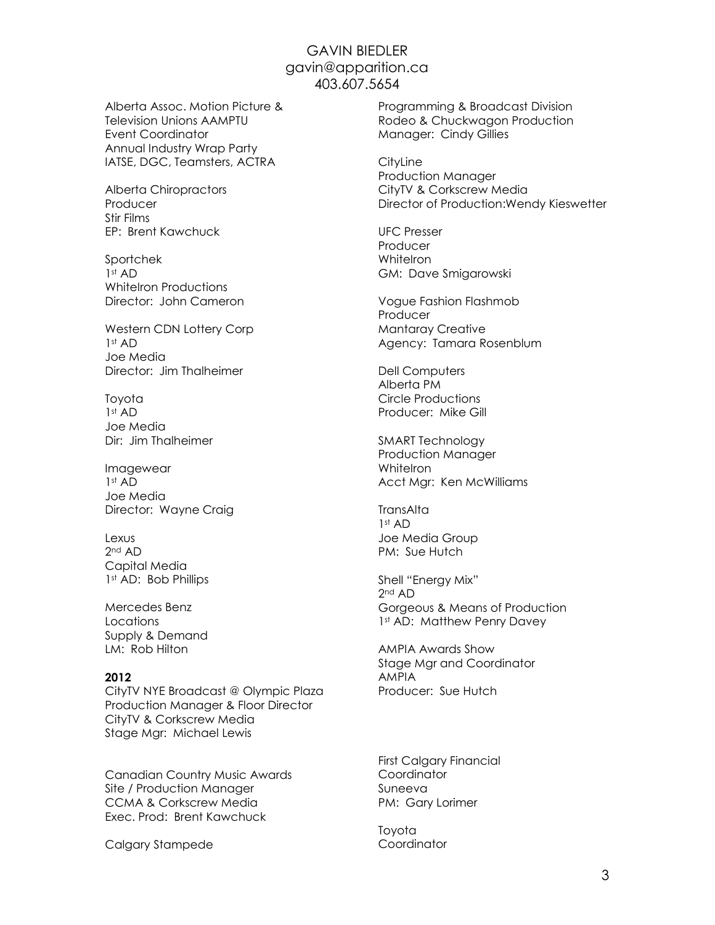Alberta Assoc. Motion Picture & Television Unions AAMPTU Event Coordinator Annual Industry Wrap Party IATSE, DGC, Teamsters, ACTRA

Alberta Chiropractors Producer Stir Films EP: Brent Kawchuck

Sportchek 1st AD WhiteIron Productions Director: John Cameron

Western CDN Lottery Corp 1st AD Joe Media Director: Jim Thalheimer

Toyota 1st AD Joe Media Dir: Jim Thalheimer

Imagewear  $1st$  AD Joe Media Director: Wayne Craig

Lexus 2nd AD Capital Media 1st AD: Bob Phillips

Mercedes Benz Locations Supply & Demand LM: Rob Hilton

### 2012

CityTV NYE Broadcast @ Olympic Plaza Production Manager & Floor Director CityTV & Corkscrew Media Stage Mgr: Michael Lewis

Canadian Country Music Awards Site / Production Manager CCMA & Corkscrew Media Exec. Prod: Brent Kawchuck

Calgary Stampede

Programming & Broadcast Division Rodeo & Chuckwagon Production Manager: Cindy Gillies

**CityLine** Production Manager CityTV & Corkscrew Media Director of Production:Wendy Kieswetter

UFC Presser Producer **WhiteIron** GM: Dave Smigarowski

Vogue Fashion Flashmob Producer Mantaray Creative Agency: Tamara Rosenblum

Dell Computers Alberta PM Circle Productions Producer: Mike Gill

SMART Technology Production Manager **WhiteIron** Acct Mgr: Ken McWilliams

**TransAlta** 1st AD Joe Media Group PM: Sue Hutch

Shell "Energy Mix" 2nd AD Gorgeous & Means of Production 1st AD: Matthew Penry Davey

AMPIA Awards Show Stage Mgr and Coordinator AMPIA Producer: Sue Hutch

First Calgary Financial Coordinator Suneeva PM: Gary Lorimer

Toyota **Coordinator**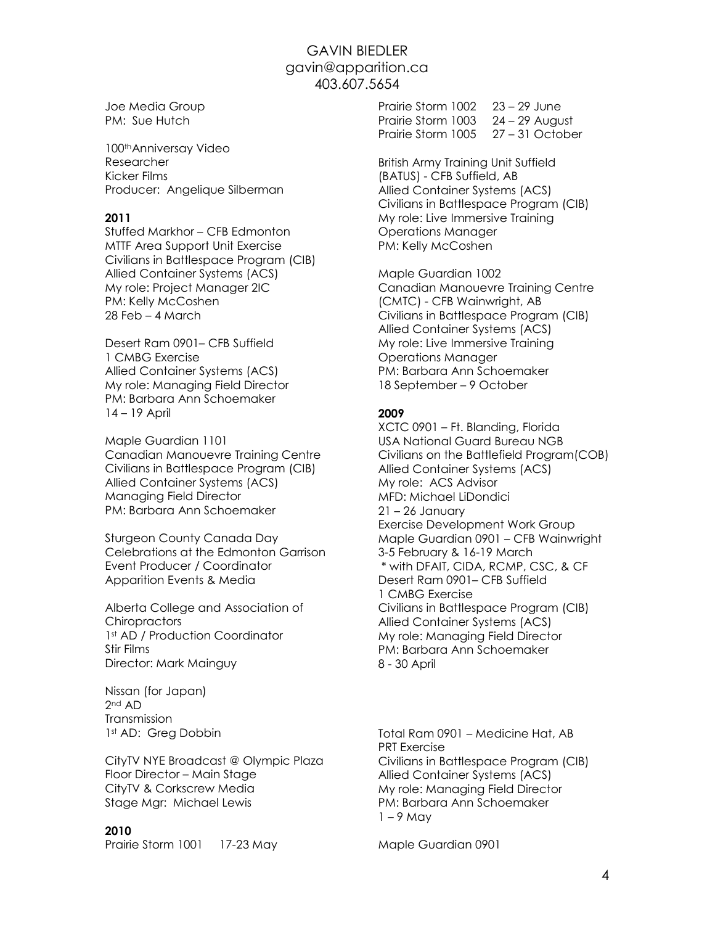Joe Media Group PM: Sue Hutch

100thAnniversay Video Researcher Kicker Films Producer: Angelique Silberman

### 2011

Stuffed Markhor – CFB Edmonton MTTF Area Support Unit Exercise Civilians in Battlespace Program (CIB) Allied Container Systems (ACS) My role: Project Manager 2IC PM: Kelly McCoshen 28 Feb – 4 March

Desert Ram 0901– CFB Suffield 1 CMBG Exercise Allied Container Systems (ACS) My role: Managing Field Director PM: Barbara Ann Schoemaker 14 – 19 April

Maple Guardian 1101 Canadian Manouevre Training Centre Civilians in Battlespace Program (CIB) Allied Container Systems (ACS) Managing Field Director PM: Barbara Ann Schoemaker

Sturgeon County Canada Day Celebrations at the Edmonton Garrison Event Producer / Coordinator Apparition Events & Media

Alberta College and Association of **Chiropractors** 1st AD / Production Coordinator Stir Films Director: Mark Mainguy

Nissan (for Japan) 2nd AD Transmission 1st AD: Greg Dobbin

CityTV NYE Broadcast @ Olympic Plaza Floor Director – Main Stage CityTV & Corkscrew Media Stage Mgr: Michael Lewis

### 2010

Prairie Storm 1001 17-23 May

Prairie Storm 1002 23 – 29 June Prairie Storm 1003 24 – 29 August Prairie Storm 1005 27 – 31 October

British Army Training Unit Suffield (BATUS) - CFB Suffield, AB Allied Container Systems (ACS) Civilians in Battlespace Program (CIB) My role: Live Immersive Training Operations Manager PM: Kelly McCoshen

Maple Guardian 1002 Canadian Manouevre Training Centre (CMTC) - CFB Wainwright, AB Civilians in Battlespace Program (CIB) Allied Container Systems (ACS) My role: Live Immersive Training Operations Manager PM: Barbara Ann Schoemaker 18 September – 9 October

## 2009

XCTC 0901 – Ft. Blanding, Florida USA National Guard Bureau NGB Civilians on the Battlefield Program(COB) Allied Container Systems (ACS) My role: ACS Advisor MFD: Michael LiDondici 21 – 26 January Exercise Development Work Group Maple Guardian 0901 – CFB Wainwright 3-5 February & 16-19 March \* with DFAIT, CIDA, RCMP, CSC, & CF Desert Ram 0901– CFB Suffield 1 CMBG Exercise Civilians in Battlespace Program (CIB) Allied Container Systems (ACS) My role: Managing Field Director PM: Barbara Ann Schoemaker 8 - 30 April

Total Ram 0901 – Medicine Hat, AB PRT Exercise Civilians in Battlespace Program (CIB) Allied Container Systems (ACS) My role: Managing Field Director PM: Barbara Ann Schoemaker  $1 - 9$  May

Maple Guardian 0901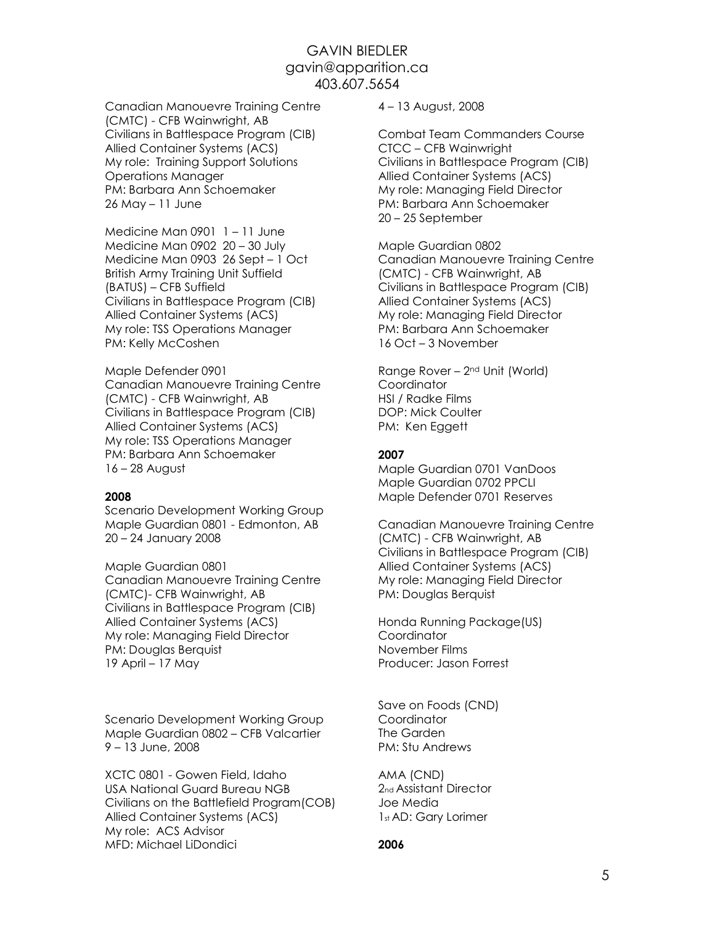Canadian Manouevre Training Centre (CMTC) - CFB Wainwright, AB Civilians in Battlespace Program (CIB) Allied Container Systems (ACS) My role: Training Support Solutions Operations Manager PM: Barbara Ann Schoemaker 26 May – 11 June

Medicine Man 0901 1 – 11 June Medicine Man 0902 20 – 30 July Medicine Man 0903 26 Sept – 1 Oct British Army Training Unit Suffield (BATUS) – CFB Suffield Civilians in Battlespace Program (CIB) Allied Container Systems (ACS) My role: TSS Operations Manager PM: Kelly McCoshen

Maple Defender 0901 Canadian Manouevre Training Centre (CMTC) - CFB Wainwright, AB Civilians in Battlespace Program (CIB) Allied Container Systems (ACS) My role: TSS Operations Manager PM: Barbara Ann Schoemaker 16 – 28 August

#### 2008

Scenario Development Working Group Maple Guardian 0801 - Edmonton, AB 20 – 24 January 2008

Maple Guardian 0801 Canadian Manouevre Training Centre (CMTC)- CFB Wainwright, AB Civilians in Battlespace Program (CIB) Allied Container Systems (ACS) My role: Managing Field Director PM: Douglas Berquist 19 April – 17 May

Scenario Development Working Group Maple Guardian 0802 – CFB Valcartier 9 – 13 June, 2008

XCTC 0801 - Gowen Field, Idaho USA National Guard Bureau NGB Civilians on the Battlefield Program(COB) Allied Container Systems (ACS) My role: ACS Advisor MFD: Michael LiDondici

4 – 13 August, 2008

Combat Team Commanders Course CTCC – CFB Wainwright Civilians in Battlespace Program (CIB) Allied Container Systems (ACS) My role: Managing Field Director PM: Barbara Ann Schoemaker 20 – 25 September

Maple Guardian 0802 Canadian Manouevre Training Centre (CMTC) - CFB Wainwright, AB Civilians in Battlespace Program (CIB) Allied Container Systems (ACS) My role: Managing Field Director PM: Barbara Ann Schoemaker 16 Oct – 3 November

Range Rover – 2nd Unit (World) **Coordinator** HSI / Radke Films DOP: Mick Coulter PM: Ken Eggett

### 2007

Maple Guardian 0701 VanDoos Maple Guardian 0702 PPCLI Maple Defender 0701 Reserves

Canadian Manouevre Training Centre (CMTC) - CFB Wainwright, AB Civilians in Battlespace Program (CIB) Allied Container Systems (ACS) My role: Managing Field Director PM: Douglas Berquist

Honda Running Package(US) Coordinator November Films Producer: Jason Forrest

Save on Foods (CND) Coordinator The Garden PM: Stu Andrews

AMA (CND) 2nd Assistant Director Joe Media 1st AD: Gary Lorimer

### 2006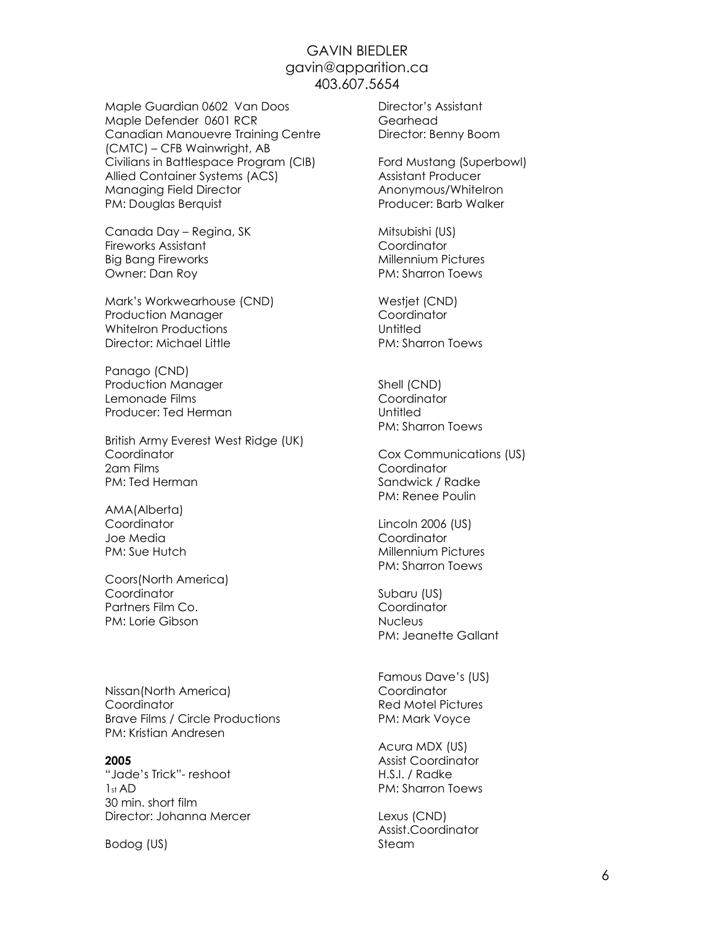Maple Guardian 0602 Van Doos Maple Defender 0601 RCR Canadian Manouevre Training Centre (CMTC) – CFB Wainwright, AB Civilians in Battlespace Program (CIB) Allied Container Systems (ACS) Managing Field Director PM: Douglas Berquist

Canada Day – Regina, SK Fireworks Assistant Big Bang Fireworks Owner: Dan Roy

Mark's Workwearhouse (CND) Production Manager WhiteIron Productions Director: Michael Little

Panago (CND) Production Manager Lemonade Films Producer: Ted Herman

British Army Everest West Ridge (UK) **Coordinator** 2am Films PM: Ted Herman

AMA(Alberta) **Coordinator** Joe Media PM: Sue Hutch

Coors(North America) Coordinator Partners Film Co. PM: Lorie Gibson

Nissan(North America) **Coordinator** Brave Films / Circle Productions PM: Kristian Andresen

### 2005

"Jade's Trick"- reshoot 1st AD 30 min. short film Director: Johanna Mercer

Bodog (US)

Director's Assistant Gearhead Director: Benny Boom

Ford Mustang (Superbowl) Assistant Producer Anonymous/WhiteIron Producer: Barb Walker

Mitsubishi (US) **Coordinator** Millennium Pictures PM: Sharron Toews

Westjet (CND) **Coordinator Untitled** PM: Sharron Toews

Shell (CND) Coordinator **Untitled** PM: Sharron Toews

Cox Communications (US) **Coordinator** Sandwick / Radke PM: Renee Poulin

Lincoln 2006 (US) **Coordinator** Millennium Pictures PM: Sharron Toews

Subaru (US) **Coordinator Nucleus** PM: Jeanette Gallant

Famous Dave's (US) **Coordinator** Red Motel Pictures PM: Mark Voyce

Acura MDX (US) Assist Coordinator H.S.I. / Radke PM: Sharron Toews

Lexus (CND) Assist.Coordinator Steam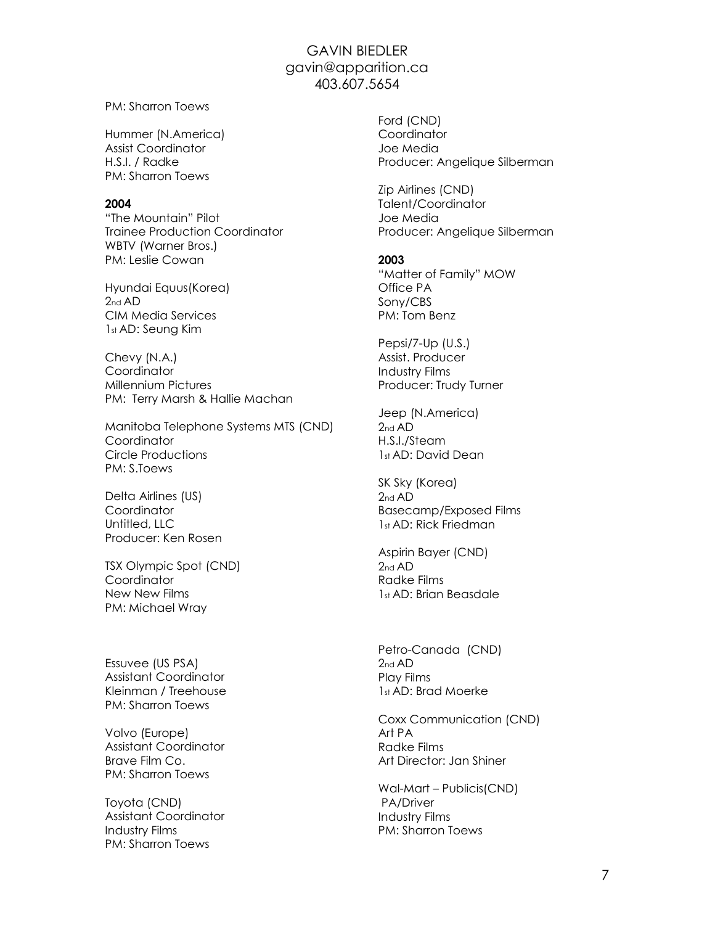PM: Sharron Toews

Hummer (N.America) Assist Coordinator H.S.I. / Radke PM: Sharron Toews

#### 2004

"The Mountain" Pilot Trainee Production Coordinator WBTV (Warner Bros.) PM: Leslie Cowan

Hyundai Equus(Korea) 2nd AD CIM Media Services 1st AD: Seung Kim

Chevy (N.A.) Coordinator Millennium Pictures PM: Terry Marsh & Hallie Machan

Manitoba Telephone Systems MTS (CND) **Coordinator** Circle Productions PM: S.Toews

Delta Airlines (US) Coordinator Untitled, LLC Producer: Ken Rosen

TSX Olympic Spot (CND) **Coordinator** New New Films PM: Michael Wray

Essuvee (US PSA) Assistant Coordinator Kleinman / Treehouse PM: Sharron Toews

Volvo (Europe) Assistant Coordinator Brave Film Co. PM: Sharron Toews

Toyota (CND) Assistant Coordinator Industry Films PM: Sharron Toews

Ford (CND) **Coordinator** Joe Media Producer: Angelique Silberman

Zip Airlines (CND) Talent/Coordinator Joe Media Producer: Angelique Silberman

#### 2003

"Matter of Family" MOW Office PA Sony/CBS PM: Tom Benz

Pepsi/7-Up (U.S.) Assist. Producer Industry Films Producer: Trudy Turner

Jeep (N.America)  $2nd AD$ H.S.I./Steam 1st AD: David Dean

SK Sky (Korea) 2nd AD Basecamp/Exposed Films 1st AD: Rick Friedman

Aspirin Bayer (CND) 2nd AD Radke Films 1st AD: Brian Beasdale

Petro-Canada (CND) 2nd AD Play Films 1st AD: Brad Moerke

Coxx Communication (CND) Art PA Radke Films Art Director: Jan Shiner

Wal-Mart – Publicis(CND) PA/Driver Industry Films PM: Sharron Toews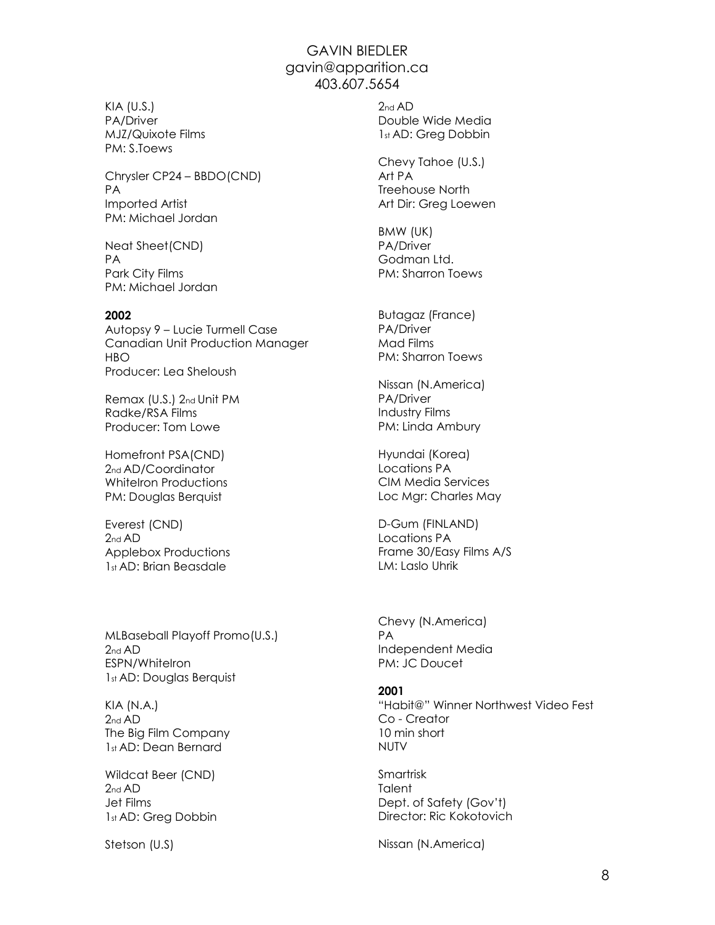KIA (U.S.) PA/Driver MJZ/Quixote Films PM: S.Toews

Chrysler CP24 – BBDO(CND) PA Imported Artist PM: Michael Jordan

Neat Sheet(CND) PA Park City Films PM: Michael Jordan

#### 2002

Autopsy 9 – Lucie Turmell Case Canadian Unit Production Manager HBO Producer: Lea Sheloush

Remax (U.S.) 2nd Unit PM Radke/RSA Films Producer: Tom Lowe

Homefront PSA(CND) 2<sub>nd</sub> AD/Coordinator WhiteIron Productions PM: Douglas Berquist

Everest (CND) 2<sub>nd</sub> AD Applebox Productions 1st AD: Brian Beasdale

MLBaseball Playoff Promo(U.S.) 2nd AD ESPN/WhiteIron 1st AD: Douglas Berquist

KIA (N.A.)  $2nd AD$ The Big Film Company 1st AD: Dean Bernard

Wildcat Beer (CND) 2<sub>nd</sub> AD Jet Films 1st AD: Greg Dobbin

Stetson (U.S)

 $2nd AD$ Double Wide Media 1st AD: Greg Dobbin

Chevy Tahoe (U.S.) Art PA Treehouse North Art Dir: Greg Loewen

BMW (UK) PA/Driver Godman Ltd. PM: Sharron Toews

Butagaz (France) PA/Driver Mad Films PM: Sharron Toews

Nissan (N.America) PA/Driver Industry Films PM: Linda Ambury

Hyundai (Korea) Locations PA CIM Media Services Loc Mgr: Charles May

D-Gum (FINLAND) Locations PA Frame 30/Easy Films A/S LM: Laslo Uhrik

Chevy (N.America) PA Independent Media PM: JC Doucet

#### 2001

"Habit@" Winner Northwest Video Fest Co - Creator 10 min short NUTV

Smartrisk **Talent** Dept. of Safety (Gov't) Director: Ric Kokotovich

Nissan (N.America)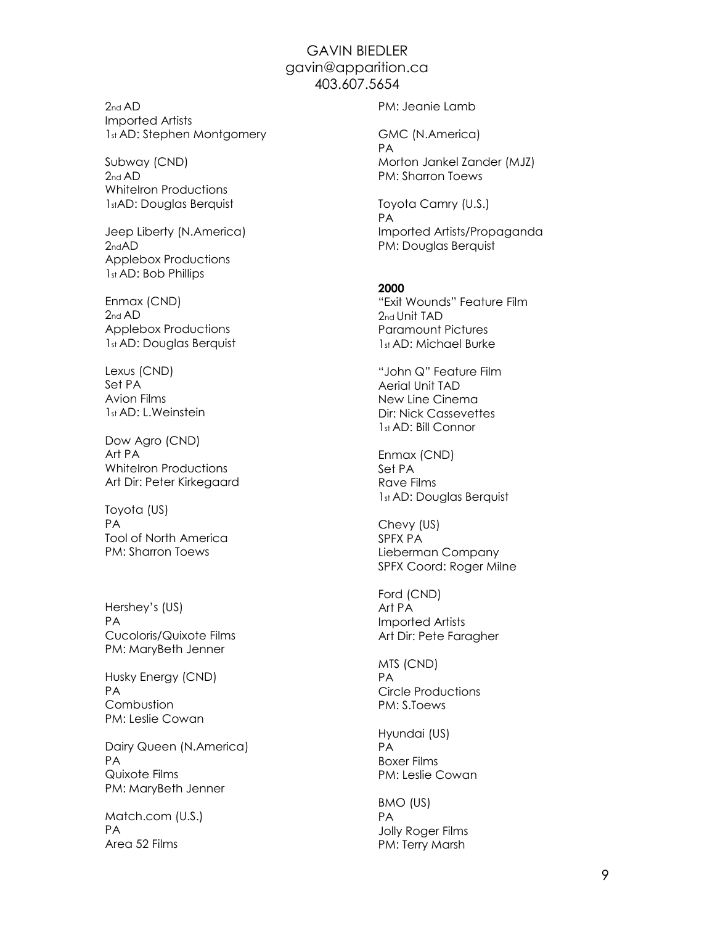$2<sub>nd</sub>$  AD Imported Artists 1st AD: Stephen Montgomery

Subway (CND)  $2nd AD$ WhiteIron Productions 1stAD: Douglas Berquist

Jeep Liberty (N.America) 2ndAD Applebox Productions 1st AD: Bob Phillips

Enmax (CND) 2nd AD Applebox Productions 1st AD: Douglas Berquist

Lexus (CND) Set PA Avion Films 1st AD: L.Weinstein

Dow Agro (CND) Art PA WhiteIron Productions Art Dir: Peter Kirkegaard

Toyota (US) PA Tool of North America PM: Sharron Toews

Hershey's (US) PA Cucoloris/Quixote Films PM: MaryBeth Jenner

Husky Energy (CND) PA **Combustion** PM: Leslie Cowan

Dairy Queen (N.America) PA Quixote Films PM: MaryBeth Jenner

Match.com (U.S.) PA Area 52 Films

PM: Jeanie Lamb

GMC (N.America) PA Morton Jankel Zander (MJZ) PM: Sharron Toews

Toyota Camry (U.S.) PA Imported Artists/Propaganda PM: Douglas Berquist

#### 2000

"Exit Wounds" Feature Film 2nd Unit TAD Paramount Pictures 1st AD: Michael Burke

"John Q" Feature Film Aerial Unit TAD New Line Cinema Dir: Nick Cassevettes 1st AD: Bill Connor

Enmax (CND) Set PA Rave Films 1st AD: Douglas Berquist

Chevy (US) SPFX PA Lieberman Company SPFX Coord: Roger Milne

Ford (CND) Art PA Imported Artists Art Dir: Pete Faragher

MTS (CND) PA Circle Productions PM: S.Toews

Hyundai (US) PA Boxer Films PM: Leslie Cowan

BMO (US) PA Jolly Roger Films PM: Terry Marsh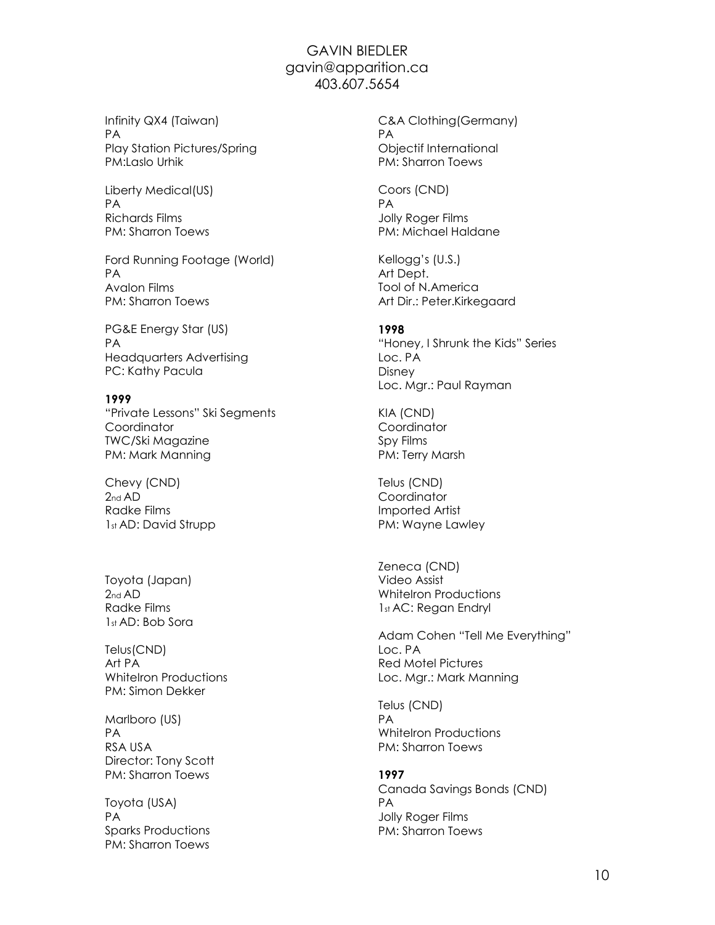Infinity QX4 (Taiwan) PA Play Station Pictures/Spring PM:Laslo Urhik

Liberty Medical(US) PA Richards Films PM: Sharron Toews

Ford Running Footage (World) PA Avalon Films PM: Sharron Toews

PG&E Energy Star (US) PA Headquarters Advertising PC: Kathy Pacula

### 1999

"Private Lessons" Ski Segments **Coordinator** TWC/Ski Magazine PM: Mark Manning

Chevy (CND) 2nd AD Radke Films 1st AD: David Strupp

Toyota (Japan)  $2nd AD$ Radke Films 1st AD: Bob Sora

Telus(CND) Art PA WhiteIron Productions PM: Simon Dekker

Marlboro (US) PA RSA USA Director: Tony Scott PM: Sharron Toews

Toyota (USA) PA Sparks Productions PM: Sharron Toews

C&A Clothing(Germany) PA Objectif International PM: Sharron Toews

Coors (CND) PA Jolly Roger Films PM: Michael Haldane

Kellogg's (U.S.) Art Dept. Tool of N.America Art Dir.: Peter.Kirkegaard

#### 1998

"Honey, I Shrunk the Kids" Series Loc. PA Disney Loc. Mgr.: Paul Rayman

KIA (CND) **Coordinator** Spy Films PM: Terry Marsh

Telus (CND) **Coordinator** Imported Artist PM: Wayne Lawley

Zeneca (CND) Video Assist WhiteIron Productions 1st AC: Regan Endryl

Adam Cohen "Tell Me Everything" Loc. PA Red Motel Pictures Loc. Mgr.: Mark Manning

Telus (CND) PA WhiteIron Productions PM: Sharron Toews

1997 Canada Savings Bonds (CND) PA Jolly Roger Films PM: Sharron Toews